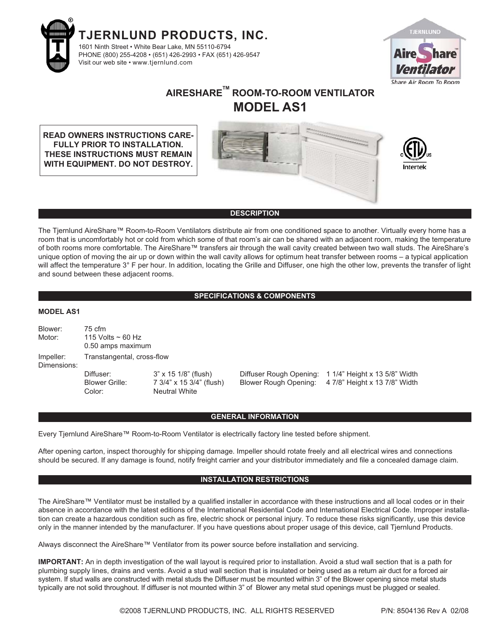



# **AIRESHARETM ROOM-TO-ROOM VENTILATOR MODEL AS1**

**READ OWNERS INSTRUCTIONS CARE-FULLY PRIOR TO INSTALLATION. THESE INSTRUCTIONS MUST REMAIN WITH EQUIPMENT. DO NOT DESTROY.**





#### **DESCRIPTION**

The Tjernlund AireShare™ Room-to-Room Ventilators distribute air from one conditioned space to another. Virtually every home has a room that is uncomfortably hot or cold from which some of that room's air can be shared with an adjacent room, making the temperature of both rooms more comfortable. The AireShare™ transfers air through the wall cavity created between two wall studs. The AireShare's unique option of moving the air up or down within the wall cavity allows for optimum heat transfer between rooms – a typical application will affect the temperature 3° F per hour. In addition, locating the Grille and Diffuser, one high the other low, prevents the transfer of light and sound between these adjacent rooms.

#### **SPECIFICATIONS & COMPONENTS**

#### **MODEL AS1**

| Blower:<br>Motor:        | $75 \text{ cfm}$<br>115 Volts $\sim$ 60 Hz<br>0.50 amps maximum |                                                                                 |  |                                                                                                              |
|--------------------------|-----------------------------------------------------------------|---------------------------------------------------------------------------------|--|--------------------------------------------------------------------------------------------------------------|
| Impeller:<br>Dimensions: | Transtangental, cross-flow                                      |                                                                                 |  |                                                                                                              |
|                          | Diffuser:<br><b>Blower Grille:</b><br>Color:                    | $3" \times 15$ 1/8" (flush)<br>7 3/4" x 15 3/4" (flush)<br><b>Neutral White</b> |  | Diffuser Rough Opening: 1 1/4" Height x 13 5/8" Width<br>Blower Rough Opening: 4 7/8" Height x 13 7/8" Width |

#### **GENERAL INFORMATION**

Every Tjernlund AireShare™ Room-to-Room Ventilator is electrically factory line tested before shipment.

After opening carton, inspect thoroughly for shipping damage. Impeller should rotate freely and all electrical wires and connections should be secured. If any damage is found, notify freight carrier and your distributor immediately and file a concealed damage claim.

#### **INSTALLATION RESTRICTIONS**

The AireShare™ Ventilator must be installed by a qualified installer in accordance with these instructions and all local codes or in their absence in accordance with the latest editions of the International Residential Code and International Electrical Code. Improper installation can create a hazardous condition such as fire, electric shock or personal injury. To reduce these risks significantly, use this device only in the manner intended by the manufacturer. If you have questions about proper usage of this device, call Tjernlund Products.

Always disconnect the AireShare™ Ventilator from its power source before installation and servicing.

**IMPORTANT:** An in depth investigation of the wall layout is required prior to installation. Avoid a stud wall section that is a path for plumbing supply lines, drains and vents. Avoid a stud wall section that is insulated or being used as a return air duct for a forced air system. If stud walls are constructed with metal studs the Diffuser must be mounted within 3" of the Blower opening since metal studs typically are not solid throughout. If diffuser is not mounted within 3" of Blower any metal stud openings must be plugged or sealed.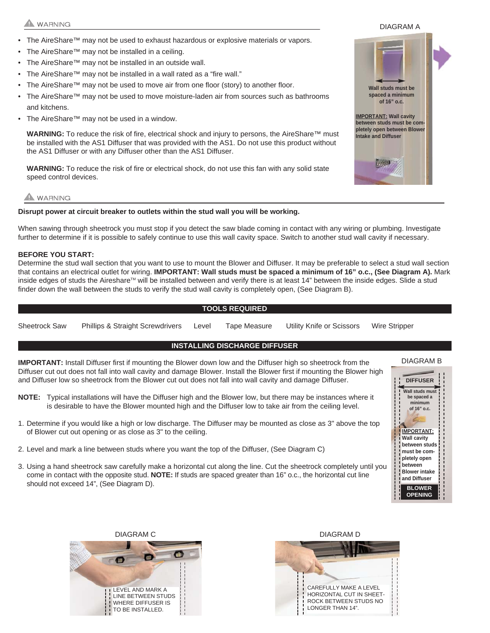## **WARNING**

- The AireShare™ may not be used to exhaust hazardous or explosive materials or vapors.
- The AireShare™ may not be installed in a ceiling.
- The AireShare™ may not be installed in an outside wall.
- The AireShare™ may not be installed in a wall rated as a "fire wall."
- The AireShare™ may not be used to move air from one floor (story) to another floor.
- The AireShare™ may not be used to move moisture-laden air from sources such as bathrooms and kitchens.
- The AireShare™ may not be used in a window.

**WARNING:** To reduce the risk of fire, electrical shock and injury to persons, the AireShare™ must be installed with the AS1 Diffuser that was provided with the AS1. Do not use this product without the AS1 Diffuser or with any Diffuser other than the AS1 Diffuser.

**WARNING:** To reduce the risk of fire or electrical shock, do not use this fan with any solid state speed control devices.

# **A** WARNING

#### **Disrupt power at circuit breaker to outlets within the stud wall you will be working.**

When sawing through sheetrock you must stop if you detect the saw blade coming in contact with any wiring or plumbing. Investigate further to determine if it is possible to safely continue to use this wall cavity space. Switch to another stud wall cavity if necessary.

#### **BEFORE YOU START:**

Determine the stud wall section that you want to use to mount the Blower and Diffuser. It may be preferable to select a stud wall section that contains an electrical outlet for wiring. **IMPORTANT: Wall studs must be spaced a minimum of 16" o.c., (See Diagram A).** Mark inside edges of studs the Aireshare™ will be installed between and verify there is at least 14" between the inside edges. Slide a stud finder down the wall between the studs to verify the stud wall cavity is completely open, (See Diagram B).

#### **TOOLS REQUIRED**

Sheetrock Saw Phillips & Straight Screwdrivers Level Tape Measure Utility Knife or Scissors Wire Stripper

### **INSTALLING DISCHARGE DIFFUSER**

**IMPORTANT:** Install Diffuser first if mounting the Blower down low and the Diffuser high so sheetrock from the Diffuser cut out does not fall into wall cavity and damage Blower. Install the Blower first if mounting the Blower high and Diffuser low so sheetrock from the Blower cut out does not fall into wall cavity and damage Diffuser.

- **NOTE:** Typical installations will have the Diffuser high and the Blower low, but there may be instances where it is desirable to have the Blower mounted high and the Diffuser low to take air from the ceiling level.
- 1. Determine if you would like a high or low discharge. The Diffuser may be mounted as close as 3" above the top of Blower cut out opening or as close as 3" to the ceiling.
- 2. Level and mark a line between studs where you want the top of the Diffuser, (See Diagram C)
- 3. Using a hand sheetrock saw carefully make a horizontal cut along the line. Cut the sheetrock completely until you come in contact with the opposite stud. **NOTE:** If studs are spaced greater than 16" o.c., the horizontal cut line should not exceed 14", (See Diagram D).









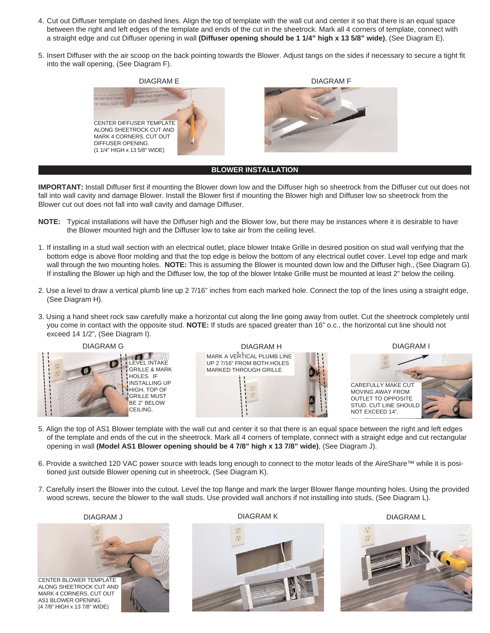- 4. Cut out Diffuser template on dashed lines. Align the top of template with the wall cut and center it so that there is an equal space between the right and left edges of the template and ends of the cut in the sheetrock. Mark all 4 corners of template, connect with a straight edge and cut Diffuser opening in wall **(Diffuser opening should be 1 1/4" high x 13 5/8" wide)**, (See Diagram E).
- 5. Insert Diffuser with the air scoop on the back pointing towards the Blower. Adjust tangs on the sides if necessary to secure a tight fit into the wall opening, (See Diagram F).



**BLOWER INSTALLATION**

**IMPORTANT:** Install Diffuser first if mounting the Blower down low and the Diffuser high so sheetrock from the Diffuser cut out does not fall into wall cavity and damage Blower. Install the Blower first if mounting the Blower high and Diffuser low so sheetrock from the Blower cut out does not fall into wall cavity and damage Diffuser.

- **NOTE:** Typical installations will have the Diffuser high and the Blower low, but there may be instances where it is desirable to have the Blower mounted high and the Diffuser low to take air from the ceiling level.
- 1. If installing in a stud wall section with an electrical outlet, place blower Intake Grille in desired position on stud wall verifying that the bottom edge is above floor molding and that the top edge is below the bottom of any electrical outlet cover. Level top edge and mark wall through the two mounting holes. **NOTE:** This is assuming the Blower is mounted down low and the Diffuser high., (See Diagram G). If installing the Blower up high and the Diffuser low, the top of the blower Intake Grille must be mounted at least 2" below the ceiling.
- 2. Use a level to draw a vertical plumb line up 2 7/16" inches from each marked hole. Connect the top of the lines using a straight edge, (See Diagram H).
- 3. Using a hand sheet rock saw carefully make a horizontal cut along the line going away from outlet. Cut the sheetrock completely until you come in contact with the opposite stud. **NOTE:** If studs are spaced greater than 16" o.c., the horizontal cut line should not exceed 14 1/2", (See Diagram I).







DIAGRAM I



- 5. Align the top of AS1 Blower template with the wall cut and center it so that there is an equal space between the right and left edges of the template and ends of the cut in the sheetrock. Mark all 4 corners of template, connect with a straight edge and cut rectangular opening in wall **(Model AS1 Blower opening should be 4 7/8" high x 13 7/8" wide)**, (See Diagram J).
- 6. Provide a switched 120 VAC power source with leads long enough to connect to the motor leads of the AireShare™ while it is positioned just outside Blower opening cut in sheetrock, (See Diagram K).
- 7. Carefully insert the Blower into the cutout. Level the top flange and mark the larger Blower flange mounting holes. Using the provided wood screws, secure the blower to the wall studs. Use provided wall anchors if not installing into studs, (See Diagram L).

CENTER BLOWER TEMPLATE ALONG SHEETROCK CUT AND MARK 4 CORNERS. CUT OUT AS1 BLOWER OPENING. (4 7/8" HIGH x 13 7/8" WIDE)



DIAGRAM J DIAGRAM K DIAGRAM L